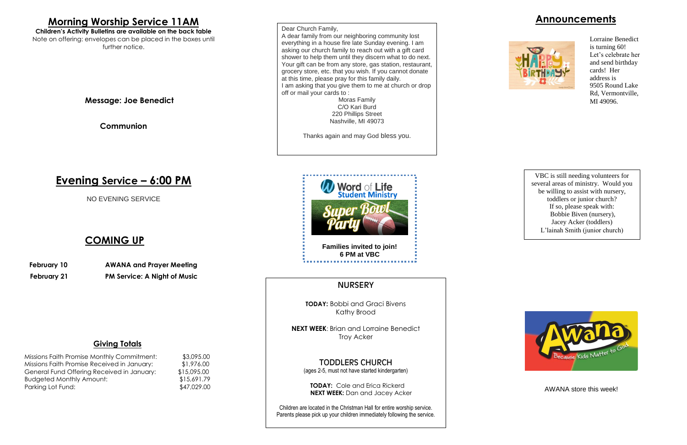### **Announcements**



#### **Giving Totals**

| Missions Faith Promise Monthly Commitment:  | \$3,095.00  |
|---------------------------------------------|-------------|
| Missions Faith Promise Received in January: | \$1,976.00  |
| General Fund Offering Received in January:  | \$15,095.00 |
| <b>Budgeted Monthly Amount:</b>             | \$15,691.79 |
| Parking Lot Fund:                           | \$47,029.00 |

**NEXT WEEK: Brian and Lorraine Benedict** Troy Acker

**TODAY:** Bobbi and Graci Bivens Kathy Brood

TODDLERS CHURCH (ages 2-5, must not have started kindergarten)

**TODAY:** Cole and Erica Rickerd **NEXT WEEK:** Dan and Jacey Acker

Children are located in the Christman Hall for entire worship service. Parents please pick up your children immediately following the service.

## **Morning Worship Service 11AM**

**Children's Activity Bulletins are available on the back table** Note on offering: envelopes can be placed in the boxes until further notice.

**Message: Joe Benedict**

**Communion**

# **Evening Service – 6:00 PM**

NO EVENING SERVICE

### **COMING UP**

 **February 10 AWANA and Prayer Meeting February 21 PM Service: A Night of Music**



#### **NURSERY**

Dear Church Family,

A dear family from our neighboring community lost everything in a house fire late Sunday evening. I am asking our church family to reach out with a gift card shower to help them until they discern what to do next. Your gift can be from any store, gas station, restaurant, grocery store, etc. that you wish. If you cannot donate at this time, please pray for this family daily. I am asking that you give them to me at church or drop off or mail your cards to :

Moras Family C/O Kari Burd 220 Phillips Street Nashville, MI 49073

Thanks again and may God bless you.

VBC is still needing volunteers for several areas of ministry. Would you be willing to assist with nursery, toddlers or junior church? If so, please speak with: Bobbie Biven (nursery), Jacey Acker (toddlers) L'lainah Smith (junior church)



AWANA store this week!

Lorraine Benedict is turning 60! Let's celebrate her and send birthday cards! Her address is 9505 Round Lake Rd, Vermontville, MI 49096.